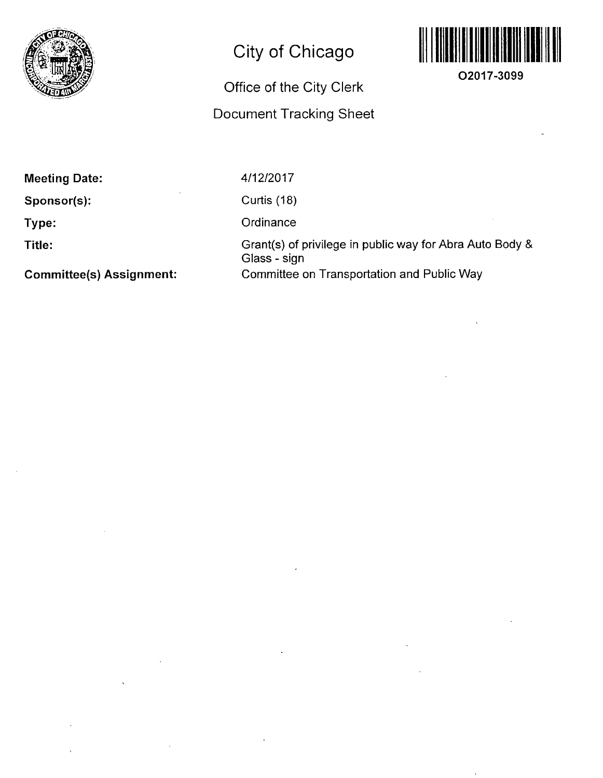

# City of Chicago

## Office of the City Clerk

### Document Tracking Sheet



**O2017-3099** 

Meeting Date:

Sponsor(s):

Type:

Title:

Committee(s) Assignment:

4/12/2017

Curtis (18)

**Ordinance** 

Grant(s) of privilege in public way for Abra Auto Body & Glass - sign Committee on Transportation and Public Way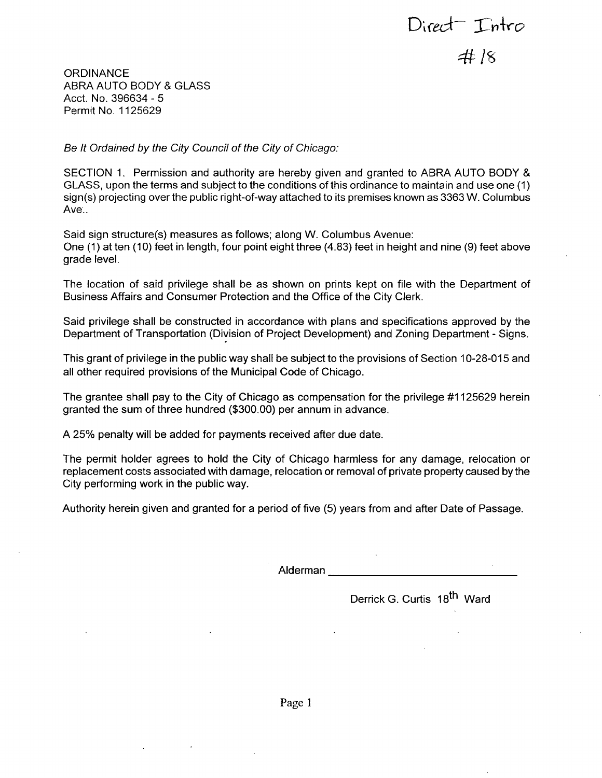Direct Intro  $4k$  /8

**ORDINANCE** ABRA AUTO BODY & GLASS Acct. No. 396634 - 5 Permit No. 1125629

*Be It Ordained by the City Council of the City of Chicago:* 

SECTION 1. Permission and authority are hereby given and granted to ABRA AUTO BODY & GLASS, upon the terms and subject to the conditions of this ordinance to maintain and use one (1)  $sign(s)$  projecting over the public right-of-way attached to its premises known as 3363 W. Columbus Ave..

Said sign structure(s) measures as follows; along W. Columbus Avenue: One (1) at ten (10) feet in length, four point eight three (4.83) feet in height and nine (9) feet above grade level.

The location of said privilege shall be as shown on prints kept on file with the Department of Business Affairs and Consumer Protection and the Office of the City Clerk.

Said privilege shall be constructed in accordance with plans and specifications approved by the Department of Transportation (Division of Project Development) and Zoning Department - Signs.

This grant of privilege in the public way shall be subject to the provisions of Section 10-28-015 and all other required provisions of the Municipal Code of Chicago.

The grantee shall pay to the City of Chicago as compensation for the privilege #1125629 herein granted the sum of three hundred (\$300.00) per annum in advance.

A 25% penalty will be added for payments received after due date.

The permit holder agrees to hold the City of Chicago harmless for any damage, relocation or replacement costs associated with damage, relocation or removal of private property caused by the City performing work in the public way.

Authority herein given and granted for a period of five (5) years from and after Date of Passage.

Alderman

Derrick G. Curtis 18<sup>th</sup> Ward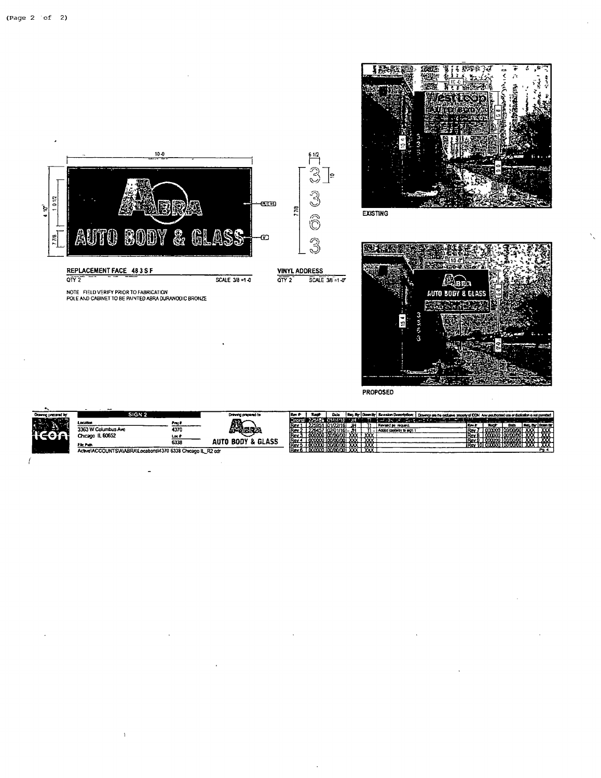

|                     | --                                                              |       |                                |            |                |              |                        |                 |                          |                                                                                                                                        |        |     |             |      |                 |
|---------------------|-----------------------------------------------------------------|-------|--------------------------------|------------|----------------|--------------|------------------------|-----------------|--------------------------|----------------------------------------------------------------------------------------------------------------------------------------|--------|-----|-------------|------|-----------------|
| Drawing prepared by | SIGN 2                                                          |       | Drawing propered for           | l Rav i    |                | Dak          |                        |                 |                          | Risq. By   Dawn By   Revision Description:   Deserge any the outlaws properly of DOM Any use though does of dedication is not permited |        |     |             |      |                 |
|                     | Location                                                        |       | ⋒∕                             |            |                | CANGAE       |                        |                 |                          |                                                                                                                                        |        |     |             | ---- |                 |
| - 33                |                                                                 | Pres  |                                | lRev       |                |              |                        |                 | Revenued the restaurant  |                                                                                                                                        | lltev. | . . | <b>Data</b> |      | n. De Barrio.   |
|                     | 3363 W Columbus Ave                                             | 4370  | <b>PARR</b>                    | iRev       |                | דת –וסו וועז |                        |                 | Added capturer to sign ? |                                                                                                                                        | lRav   |     |             |      | $\overline{xx}$ |
|                     | Chicago IL 60652                                                | Loc 6 |                                | lRev       | 000000         | ) loonoooi   | $\overline{\text{xx}}$ | $x\overline{x}$ |                          |                                                                                                                                        |        |     |             |      | $-1.77$         |
|                     |                                                                 | 6338  | & GLASS<br><b>BODY</b><br>AUTO | <b>Rev</b> | mmm            | 100/00/001   | $\overline{\text{xx}}$ | <b>xxx</b>      |                          |                                                                                                                                        |        |     |             |      | $- \infty$<br>. |
|                     | File Path                                                       |       |                                | IRev       |                |              | xxx                    | xxx             |                          |                                                                                                                                        |        |     |             |      | אסגר            |
|                     | Active\ACCOLINTS\A\ARRA\I ocalions\4370 6338 Chicago II R2 odr. |       |                                | IRev 6     | 000000 0000000 |              | vdovdoj XXX.           | XXXT            |                          |                                                                                                                                        |        |     |             |      | Po 4            |

PROPOSED

 $\overline{1}$